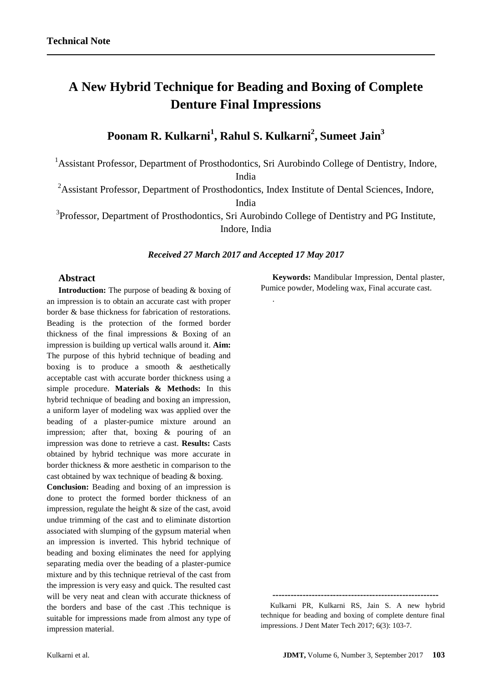# **A New Hybrid Technique for Beading and Boxing of Complete Denture Final Impressions**

## **Poonam R. Kulkarni<sup>1</sup> , Rahul S. Kulkarni<sup>2</sup> , Sumeet Jain<sup>3</sup>**

<sup>1</sup> Assistant Professor, Department of Prosthodontics, Sri Aurobindo College of Dentistry, Indore,

India

<sup>2</sup>Assistant Professor, Department of Prosthodontics, Index Institute of Dental Sciences, Indore, India

<sup>3</sup>Professor, Department of Prosthodontics, Sri Aurobindo College of Dentistry and PG Institute,

Indore, India

## *Received 27 March 2017 and Accepted 17 May 2017*

.

## **Abstract**

**Introduction:** The purpose of beading & boxing of an impression is to obtain an accurate cast with proper border & base thickness for fabrication of restorations. Beading is the protection of the formed border thickness of the final impressions & Boxing of an impression is building up vertical walls around it. **Aim:**  The purpose of this hybrid technique of beading and boxing is to produce a smooth  $\&$  aesthetically acceptable cast with accurate border thickness using a simple procedure. **Materials & Methods:** In this hybrid technique of beading and boxing an impression, a uniform layer of modeling wax was applied over the beading of a plaster-pumice mixture around an impression; after that, boxing & pouring of an impression was done to retrieve a cast. **Results:** Casts obtained by hybrid technique was more accurate in border thickness & more aesthetic in comparison to the cast obtained by wax technique of beading & boxing.

**Conclusion:** Beading and boxing of an impression is done to protect the formed border thickness of an impression, regulate the height & size of the cast, avoid undue trimming of the cast and to eliminate distortion associated with slumping of the gypsum material when an impression is inverted. This hybrid technique of beading and boxing eliminates the need for applying separating media over the beading of a plaster-pumice mixture and by this technique retrieval of the cast from the impression is very easy and quick. The resulted cast will be very neat and clean with accurate thickness of the borders and base of the cast .This technique is suitable for impressions made from almost any type of impression material.

**Keywords:** Mandibular Impression, Dental plaster, Pumice powder, Modeling wax, Final accurate cast.

**-------------------------------------------------------**

Kulkarni PR, Kulkarni RS, Jain S. A new hybrid technique for beading and boxing of complete denture final impressions. J Dent Mater Tech 2017; 6(3): 103-7.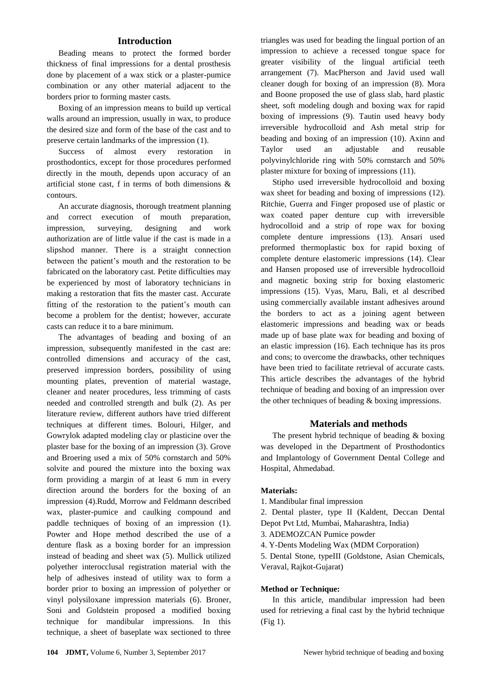## **Introduction**

Beading means to protect the formed border thickness of final impressions for a dental prosthesis done by placement of a wax stick or a plaster-pumice combination or any other material adjacent to the borders prior to forming master casts.

Boxing of an impression means to build up vertical walls around an impression, usually in wax, to produce the desired size and form of the base of the cast and to preserve certain landmarks of the impression (1).

Success of almost every restoration in prosthodontics, except for those procedures performed directly in the mouth, depends upon accuracy of an artificial stone cast, f in terms of both dimensions & contours.

An accurate diagnosis, thorough treatment planning and correct execution of mouth preparation, impression, surveying, designing and work authorization are of little value if the cast is made in a slipshod manner. There is a straight connection between the patient's mouth and the restoration to be fabricated on the laboratory cast. Petite difficulties may be experienced by most of laboratory technicians in making a restoration that fits the master cast. Accurate fitting of the restoration to the patient's mouth can become a problem for the dentist; however, accurate casts can reduce it to a bare minimum.

The advantages of beading and boxing of an impression, subsequently manifested in the cast are: controlled dimensions and accuracy of the cast, preserved impression borders, possibility of using mounting plates, prevention of material wastage, cleaner and neater procedures, less trimming of casts needed and controlled strength and bulk (2). As per literature review, different authors have tried different techniques at different times. Bolouri, Hilger, and Gowrylok adapted modeling clay or plasticine over the plaster base for the boxing of an impression (3). Grove and Broering used a mix of 50% cornstarch and 50% solvite and poured the mixture into the boxing wax form providing a margin of at least 6 mm in every direction around the borders for the boxing of an impression (4).Rudd, Morrow and Feldmann described wax, plaster-pumice and caulking compound and paddle techniques of boxing of an impression (1). Powter and Hope method described the use of a denture flask as a boxing border for an impression instead of beading and sheet wax (5). Mullick utilized polyether interocclusal registration material with the help of adhesives instead of utility wax to form a border prior to boxing an impression of polyether or vinyl polysiloxane impression materials (6). Broner, Soni and Goldstein proposed a modified boxing technique for mandibular impressions. In this technique, a sheet of baseplate wax sectioned to three

triangles was used for beading the lingual portion of an impression to achieve a recessed tongue space for greater visibility of the lingual artificial teeth arrangement (7). MacPherson and Javid used wall cleaner dough for boxing of an impression (8). Mora and Boone proposed the use of glass slab, hard plastic sheet, soft modeling dough and boxing wax for rapid boxing of impressions (9). Tautin used heavy body irreversible hydrocolloid and Ash metal strip for beading and boxing of an impression (10). Axinn and Taylor used an adjustable and reusable polyvinylchloride ring with 50% cornstarch and 50% plaster mixture for boxing of impressions (11).

Stipho used irreversible hydrocolloid and boxing wax sheet for beading and boxing of impressions (12). Ritchie, Guerra and Finger proposed use of plastic or wax coated paper denture cup with irreversible hydrocolloid and a strip of rope wax for boxing complete denture impressions (13). Ansari used preformed thermoplastic box for rapid boxing of complete denture elastomeric impressions (14). Clear and Hansen proposed use of irreversible hydrocolloid and magnetic boxing strip for boxing elastomeric impressions (15). Vyas, Maru, Bali, et al described using commercially available instant adhesives around the borders to act as a joining agent between elastomeric impressions and beading wax or beads made up of base plate wax for beading and boxing of an elastic impression (16). Each technique has its pros and cons; to overcome the drawbacks, other techniques have been tried to facilitate retrieval of accurate casts. This article describes the advantages of the hybrid technique of beading and boxing of an impression over the other techniques of beading & boxing impressions.

#### **Materials and methods**

The present hybrid technique of beading & boxing was developed in the Department of Prosthodontics and Implantology of Government Dental College and Hospital, Ahmedabad.

#### **Materials:**

- 1. Mandibular final impression
- 2. Dental plaster, type II (Kaldent, Deccan Dental
- Depot Pvt Ltd, Mumbai, Maharashtra, India)

3. ADEMOZCAN Pumice powder

4. Y-Dents Modeling Wax (MDM Corporation)

5. Dental Stone, typeIII (Goldstone, Asian Chemicals, Veraval, Rajkot-Gujarat)

#### **Method or Technique:**

In this article, mandibular impression had been used for retrieving a final cast by the hybrid technique (Fig 1).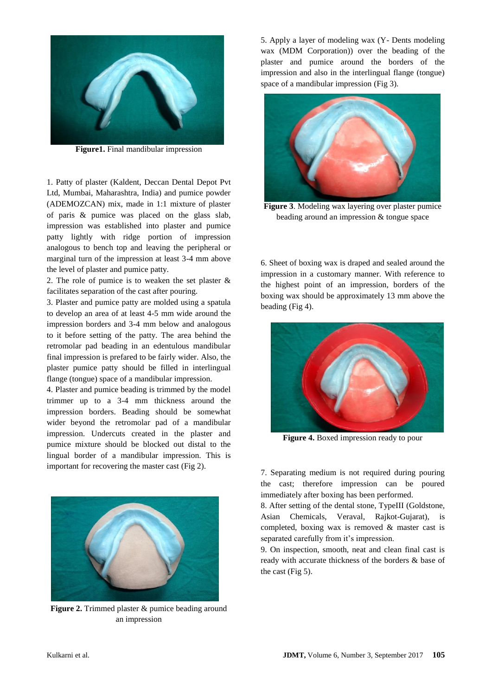

**Figure1.** Final mandibular impression

1. Patty of plaster (Kaldent, Deccan Dental Depot Pvt Ltd, Mumbai, Maharashtra, India) and pumice powder (ADEMOZCAN) mix, made in 1:1 mixture of plaster of paris & pumice was placed on the glass slab, impression was established into plaster and pumice patty lightly with ridge portion of impression analogous to bench top and leaving the peripheral or marginal turn of the impression at least 3-4 mm above the level of plaster and pumice patty.

2. The role of pumice is to weaken the set plaster & facilitates separation of the cast after pouring.

3. Plaster and pumice patty are molded using a spatula to develop an area of at least 4-5 mm wide around the impression borders and 3-4 mm below and analogous to it before setting of the patty. The area behind the retromolar pad beading in an edentulous mandibular final impression is prefared to be fairly wider. Also, the plaster pumice patty should be filled in interlingual flange (tongue) space of a mandibular impression.

4. Plaster and pumice beading is trimmed by the model trimmer up to a 3-4 mm thickness around the impression borders. Beading should be somewhat wider beyond the retromolar pad of a mandibular impression. Undercuts created in the plaster and pumice mixture should be blocked out distal to the lingual border of a mandibular impression. This is important for recovering the master cast (Fig 2).



**Figure 2.** Trimmed plaster & pumice beading around an impression

5. Apply a layer of modeling wax (Y- Dents modeling wax (MDM Corporation)) over the beading of the plaster and pumice around the borders of the impression and also in the interlingual flange (tongue) space of a mandibular impression (Fig 3).



**Figure 3**. Modeling wax layering over plaster pumice beading around an impression & tongue space

6. Sheet of boxing wax is draped and sealed around the impression in a customary manner. With reference to the highest point of an impression, borders of the boxing wax should be approximately 13 mm above the beading (Fig 4).



**Figure 4.** Boxed impression ready to pour

7. Separating medium is not required during pouring the cast; therefore impression can be poured immediately after boxing has been performed.

8. After setting of the dental stone, TypeIII (Goldstone, Asian Chemicals, Veraval, Rajkot-Gujarat), is completed, boxing wax is removed & master cast is separated carefully from it's impression.

9. On inspection, smooth, neat and clean final cast is ready with accurate thickness of the borders & base of the cast (Fig 5).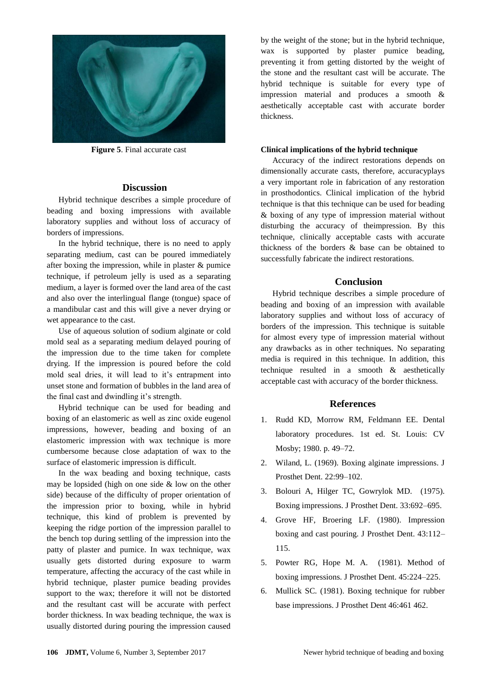

**Figure 5**. Final accurate cast

## **Discussion**

Hybrid technique describes a simple procedure of beading and boxing impressions with available laboratory supplies and without loss of accuracy of borders of impressions.

In the hybrid technique, there is no need to apply separating medium, cast can be poured immediately after boxing the impression, while in plaster & pumice technique, if petroleum jelly is used as a separating medium, a layer is formed over the land area of the cast and also over the interlingual flange (tongue) space of a mandibular cast and this will give a never drying or wet appearance to the cast.

Use of aqueous solution of sodium alginate or cold mold seal as a separating medium delayed pouring of the impression due to the time taken for complete drying. If the impression is poured before the cold mold seal dries, it will lead to it's entrapment into unset stone and formation of bubbles in the land area of the final cast and dwindling it's strength.

Hybrid technique can be used for beading and boxing of an elastomeric as well as zinc oxide eugenol impressions, however, beading and boxing of an elastomeric impression with wax technique is more cumbersome because close adaptation of wax to the surface of elastomeric impression is difficult.

In the wax beading and boxing technique, casts may be lopsided (high on one side & low on the other side) because of the difficulty of proper orientation of the impression prior to boxing, while in hybrid technique, this kind of problem is prevented by keeping the ridge portion of the impression parallel to the bench top during settling of the impression into the patty of plaster and pumice. In wax technique, wax usually gets distorted during exposure to warm temperature, affecting the accuracy of the cast while in hybrid technique, plaster pumice beading provides support to the wax; therefore it will not be distorted and the resultant cast will be accurate with perfect border thickness. In wax beading technique, the wax is usually distorted during pouring the impression caused by the weight of the stone; but in the hybrid technique, wax is supported by plaster pumice beading, preventing it from getting distorted by the weight of the stone and the resultant cast will be accurate. The hybrid technique is suitable for every type of impression material and produces a smooth & aesthetically acceptable cast with accurate border thickness.

## **Clinical implications of the hybrid technique**

Accuracy of the indirect restorations depends on dimensionally accurate casts, therefore, accuracyplays a very important role in fabrication of any restoration in prosthodontics. Clinical implication of the hybrid technique is that this technique can be used for beading & boxing of any type of impression material without disturbing the accuracy of theimpression. By this technique, clinically acceptable casts with accurate thickness of the borders & base can be obtained to successfully fabricate the indirect restorations.

## **Conclusion**

Hybrid technique describes a simple procedure of beading and boxing of an impression with available laboratory supplies and without loss of accuracy of borders of the impression. This technique is suitable for almost every type of impression material without any drawbacks as in other techniques. No separating media is required in this technique. In addition, this technique resulted in a smooth & aesthetically acceptable cast with accuracy of the border thickness.

## **References**

- 1. Rudd KD, Morrow RM, Feldmann EE. Dental laboratory procedures. 1st ed. St. Louis: CV Mosby; 1980. p. 49–72.
- 2. Wiland, L. (1969). Boxing alginate impressions. J Prosthet Dent. 22:99–102.
- 3. Bolouri A, Hilger TC, Gowrylok MD. (1975). Boxing impressions. J Prosthet Dent. 33:692–695.
- 4. Grove HF, Broering LF. (1980). Impression boxing and cast pouring. J Prosthet Dent. 43:112– 115.
- 5. Powter RG, Hope M. A. (1981). Method of boxing impressions. J Prosthet Dent. 45:224–225.
- 6. Mullick SC. (1981). Boxing technique for rubber base impressions. J Prosthet Dent 46:461 462.